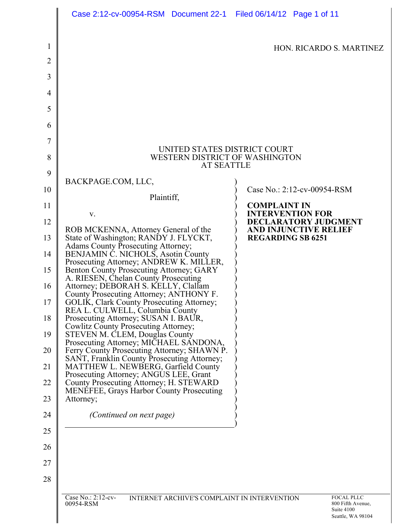|                | Case 2:12-cv-00954-RSM  Document 22-1  Filed 06/14/12  Page 1 of 11                                                      |                                                      |  |  |  |  |  |  |  |  |
|----------------|--------------------------------------------------------------------------------------------------------------------------|------------------------------------------------------|--|--|--|--|--|--|--|--|
| 1              |                                                                                                                          | HON. RICARDO S. MARTINEZ                             |  |  |  |  |  |  |  |  |
| $\overline{2}$ |                                                                                                                          |                                                      |  |  |  |  |  |  |  |  |
| 3              |                                                                                                                          |                                                      |  |  |  |  |  |  |  |  |
| 4              |                                                                                                                          |                                                      |  |  |  |  |  |  |  |  |
| 5              |                                                                                                                          |                                                      |  |  |  |  |  |  |  |  |
| 6              |                                                                                                                          |                                                      |  |  |  |  |  |  |  |  |
| 7              | UNITED STATES DISTRICT COURT                                                                                             |                                                      |  |  |  |  |  |  |  |  |
| 8              | WESTERN DISTRICT OF WASHINGTON<br><b>AT SEATTLE</b>                                                                      |                                                      |  |  |  |  |  |  |  |  |
| 9              | BACKPAGE.COM, LLC,                                                                                                       |                                                      |  |  |  |  |  |  |  |  |
| 10             | Plaintiff,                                                                                                               | Case No.: 2:12-cv-00954-RSM                          |  |  |  |  |  |  |  |  |
| 11             | V.                                                                                                                       | <b>COMPLAINT IN</b><br><b>INTERVENTION FOR</b>       |  |  |  |  |  |  |  |  |
| 12             | ROB MCKENNA, Attorney General of the                                                                                     | DECLARATORY JUDGMENT<br><b>AND INJUNCTIVE RELIEF</b> |  |  |  |  |  |  |  |  |
| 13             | State of Washington; RANDY J. FLYCKT,<br><b>Adams County Prosecuting Attorney;</b>                                       | <b>REGARDING SB 6251</b>                             |  |  |  |  |  |  |  |  |
| 14             | BENJAMIN Č. NICHOLS, Asotin County<br>Prosecuting Attorney; ANDREW K. MILLER,                                            |                                                      |  |  |  |  |  |  |  |  |
| 15             | Benton County Prosecuting Attorney; GARY<br>A. RIESEN, Chelan County Prosecuting                                         |                                                      |  |  |  |  |  |  |  |  |
| 16             | Attorney; DEBORAH S. KELLY, Clallam<br>County Prosecuting Attorney; ANTHONY F.                                           |                                                      |  |  |  |  |  |  |  |  |
| 17             | GOLIK, Clark County Prosecuting Attorney;<br>REA L. CULWELL, Columbia County                                             |                                                      |  |  |  |  |  |  |  |  |
| 18             | Prosecuting Attorney; SUSAN I. BAUR,<br>Cowlitz County Prosecuting Attorney;                                             |                                                      |  |  |  |  |  |  |  |  |
| 19             | <b>STEVEN M. CLEM, Douglas County</b><br>Prosecuting Attorney; MICHAEL SANDONA,                                          |                                                      |  |  |  |  |  |  |  |  |
| 20             | Ferry County Prosecuting Attorney; SHAWN P.<br>SANT, Franklin County Prosecuting Attorney;                               |                                                      |  |  |  |  |  |  |  |  |
| 21<br>22       | MATTHEW L. NEWBERG, Garfield County<br>Prosecuting Attorney; ANGUS LEE, Grant<br>County Prosecuting Attorney; H. STEWARD |                                                      |  |  |  |  |  |  |  |  |
| 23             | <b>MENEFEE, Grays Harbor County Prosecuting</b><br>Attorney;                                                             |                                                      |  |  |  |  |  |  |  |  |
| 24             | <i>(Continued on next page)</i>                                                                                          |                                                      |  |  |  |  |  |  |  |  |
| 25             |                                                                                                                          |                                                      |  |  |  |  |  |  |  |  |
| 26             |                                                                                                                          |                                                      |  |  |  |  |  |  |  |  |
| 27             |                                                                                                                          |                                                      |  |  |  |  |  |  |  |  |
| 28             |                                                                                                                          |                                                      |  |  |  |  |  |  |  |  |
|                | Case No.: 2:12-cv-<br>INTERNET ARCHIVE'S COMPLAINT IN INTERVENTION                                                       | FOCAL PLLC                                           |  |  |  |  |  |  |  |  |
|                | 00954-RSM                                                                                                                | 800 Fifth Avenue,<br>Suite 4100<br>Seattle, WA 98104 |  |  |  |  |  |  |  |  |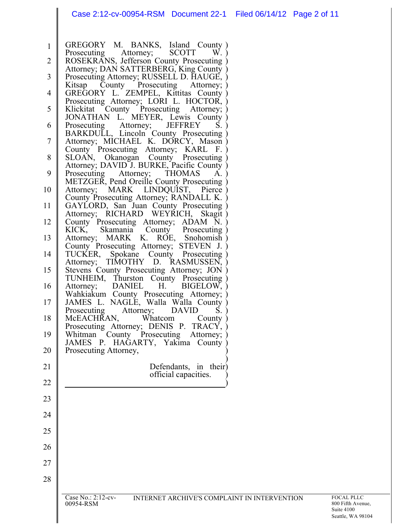|                  | Case No.: 2:12-cv-<br>INTERNET ARCHIVE'S COMPLAINT IN INTERVENTION<br>00954-RSM                      | FOCAL PLLC<br>800 Fifth Aver |
|------------------|------------------------------------------------------------------------------------------------------|------------------------------|
| 28               |                                                                                                      |                              |
|                  |                                                                                                      |                              |
| 27               |                                                                                                      |                              |
| 26               |                                                                                                      |                              |
| 25               |                                                                                                      |                              |
| 24               |                                                                                                      |                              |
| 23               |                                                                                                      |                              |
| 22               |                                                                                                      |                              |
| 21               | Defendants, in their)<br>official capacities.                                                        |                              |
|                  |                                                                                                      |                              |
| 20               | Whitman County Prosecuting Attorney; )<br>JAMES P. HAGARTY, Yakima County )<br>Prosecuting Attorney, |                              |
| 19               | Prosecuting Attorney; DENIS P. TRACY,                                                                |                              |
| 18               | Prosecuting<br>Attorney;<br><b>DAVID</b><br>S.<br>McEACHRAN,<br>Whatcom<br>County                    |                              |
| 17               | Wahkiakum County Prosecuting Attorney;<br>JAMES L. NAGLE, Walla Walla County                         |                              |
| 16               | DANIEL H.<br>BIGELOW,<br>Attorney;                                                                   |                              |
| 15               | Stevens County Prosecuting Attorney; JON<br>TUNHEIM, Thurston County Prosecuting                     |                              |
| 14               | TUCKER,<br>Spokane County Prosecuting<br>TIMOTHY D. RASMUSSEN,<br>Attorney;                          |                              |
| 13               | Attorney; MARK K. ROE, Snohomish<br>County Prosecuting Attorney; STEVEN J.                           |                              |
| 12               | County Prosecuting Attorney; ADAM N.<br>KICK,<br>Skamania County Prosecuting                         |                              |
|                  | GAYLORD, San Juan County Prosecuting<br>Attorney; RICHARD WEYRICH, Skagit)                           |                              |
| 11               | County Prosecuting Attorney; RANDALL K.                                                              |                              |
| 10               | METZGER, Pend Oreille County Prosecuting<br>Attorney; MARK LINDQUIST, Pierce                         |                              |
| 9                | Attorney; DAVID J. BURKE, Pacific County<br><b>THOMAS</b><br>Prosecuting Attorney;<br>A.             |                              |
| 8                | County Prosecuting Attorney; KARL F.<br>SLOAN, Okanogan County Prosecuting                           |                              |
| $\boldsymbol{7}$ | BARKDULL, Lincoln County Prosecuting<br>Attorney; MICHAEL K. DORCY, Mason                            |                              |
| 6                | JONATHAN L. MEYER, Lewis County<br>Prosecuting<br>Attorney;<br><b>JEFFREY</b><br>S.                  |                              |
| 5                | Prosecuting Attorney; LORI L. HOCTOR,<br>Klickitat County Prosecuting Attorney;                      |                              |
| 4                | County Prosecuting Attorney;<br>Kitsap<br>GREGORY L. ZEMPEL, Kittitas County                         |                              |
| 3                | Attorney; DAN SATTERBERG, King County<br>Prosecuting Attorney; RUSSELL D. HAUGE,                     |                              |
| $\overline{2}$   | ROSEKRANS, Jefferson County Prosecuting                                                              |                              |
| $\mathbf{1}$     | GREGORY M. BANKS, Island County)<br><b>SCOTT</b><br>Prosecuting<br>$W_{\cdot}$ )<br>Attorney;        |                              |
|                  |                                                                                                      |                              |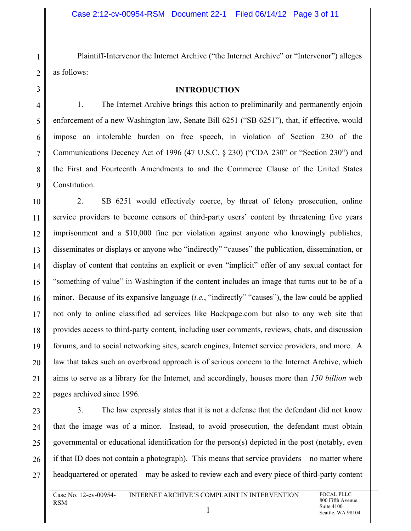Plaintiff-Intervenor the Internet Archive ("the Internet Archive" or "Intervenor") alleges as follows:

#### **INTRODUCTION**

1. The Internet Archive brings this action to preliminarily and permanently enjoin enforcement of a new Washington law, Senate Bill 6251 ("SB 6251"), that, if effective, would impose an intolerable burden on free speech, in violation of Section 230 of the Communications Decency Act of 1996 (47 U.S.C. § 230) ("CDA 230" or "Section 230") and the First and Fourteenth Amendments to and the Commerce Clause of the United States Constitution.

2. SB 6251 would effectively coerce, by threat of felony prosecution, online service providers to become censors of third-party users' content by threatening five years imprisonment and a \$10,000 fine per violation against anyone who knowingly publishes, disseminates or displays or anyone who "indirectly" "causes" the publication, dissemination, or display of content that contains an explicit or even "implicit" offer of any sexual contact for "something of value" in Washington if the content includes an image that turns out to be of a minor. Because of its expansive language (*i.e.*, "indirectly" "causes"), the law could be applied not only to online classified ad services like Backpage.com but also to any web site that provides access to third-party content, including user comments, reviews, chats, and discussion forums, and to social networking sites, search engines, Internet service providers, and more. A law that takes such an overbroad approach is of serious concern to the Internet Archive, which aims to serve as a library for the Internet, and accordingly, houses more than *150 billion* web pages archived since 1996.

3. The law expressly states that it is not a defense that the defendant did not know that the image was of a minor. Instead, to avoid prosecution, the defendant must obtain governmental or educational identification for the person(s) depicted in the post (notably, even if that ID does not contain a photograph). This means that service providers – no matter where headquartered or operated – may be asked to review each and every piece of third-party content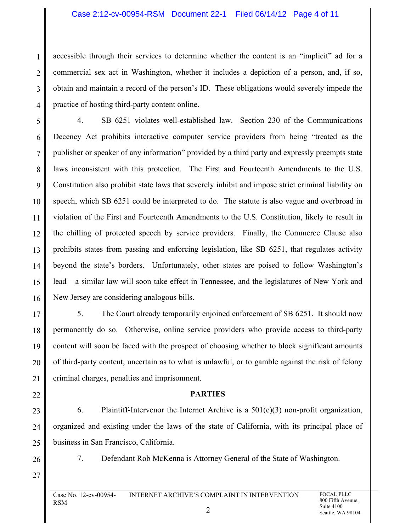accessible through their services to determine whether the content is an "implicit" ad for a commercial sex act in Washington, whether it includes a depiction of a person, and, if so, obtain and maintain a record of the person's ID. These obligations would severely impede the practice of hosting third-party content online.

4. SB 6251 violates well-established law. Section 230 of the Communications Decency Act prohibits interactive computer service providers from being "treated as the publisher or speaker of any information" provided by a third party and expressly preempts state laws inconsistent with this protection. The First and Fourteenth Amendments to the U.S. Constitution also prohibit state laws that severely inhibit and impose strict criminal liability on speech, which SB 6251 could be interpreted to do. The statute is also vague and overbroad in violation of the First and Fourteenth Amendments to the U.S. Constitution, likely to result in the chilling of protected speech by service providers. Finally, the Commerce Clause also prohibits states from passing and enforcing legislation, like SB 6251, that regulates activity beyond the state's borders. Unfortunately, other states are poised to follow Washington's lead – a similar law will soon take effect in Tennessee, and the legislatures of New York and New Jersey are considering analogous bills.

5. The Court already temporarily enjoined enforcement of SB 6251. It should now permanently do so. Otherwise, online service providers who provide access to third-party content will soon be faced with the prospect of choosing whether to block significant amounts of third-party content, uncertain as to what is unlawful, or to gamble against the risk of felony criminal charges, penalties and imprisonment.

### **PARTIES**

6. Plaintiff-Intervenor the Internet Archive is a 501(c)(3) non-profit organization, organized and existing under the laws of the state of California, with its principal place of business in San Francisco, California.

7. Defendant Rob McKenna is Attorney General of the State of Washington.

1

2

3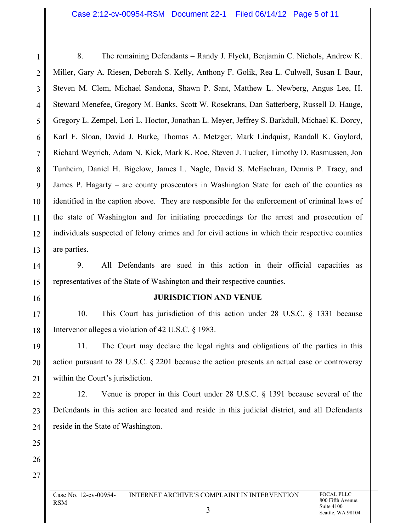8. The remaining Defendants – Randy J. Flyckt, Benjamin C. Nichols, Andrew K. Miller, Gary A. Riesen, Deborah S. Kelly, Anthony F. Golik, Rea L. Culwell, Susan I. Baur, Steven M. Clem, Michael Sandona, Shawn P. Sant, Matthew L. Newberg, Angus Lee, H. Steward Menefee, Gregory M. Banks, Scott W. Rosekrans, Dan Satterberg, Russell D. Hauge, Gregory L. Zempel, Lori L. Hoctor, Jonathan L. Meyer, Jeffrey S. Barkdull, Michael K. Dorcy, Karl F. Sloan, David J. Burke, Thomas A. Metzger, Mark Lindquist, Randall K. Gaylord, Richard Weyrich, Adam N. Kick, Mark K. Roe, Steven J. Tucker, Timothy D. Rasmussen, Jon Tunheim, Daniel H. Bigelow, James L. Nagle, David S. McEachran, Dennis P. Tracy, and James P. Hagarty – are county prosecutors in Washington State for each of the counties as identified in the caption above. They are responsible for the enforcement of criminal laws of the state of Washington and for initiating proceedings for the arrest and prosecution of individuals suspected of felony crimes and for civil actions in which their respective counties are parties.

9. All Defendants are sued in this action in their official capacities as representatives of the State of Washington and their respective counties.

16

17

18

19

20

21

22

23

24

25

26

27

1

2

3

4

5

6

7

8

9

10

11

12

13

14

15

#### **JURISDICTION AND VENUE**

10. This Court has jurisdiction of this action under 28 U.S.C. § 1331 because Intervenor alleges a violation of 42 U.S.C. § 1983.

11. The Court may declare the legal rights and obligations of the parties in this action pursuant to 28 U.S.C. § 2201 because the action presents an actual case or controversy within the Court's jurisdiction.

12. Venue is proper in this Court under 28 U.S.C. § 1391 because several of the Defendants in this action are located and reside in this judicial district, and all Defendants reside in the State of Washington.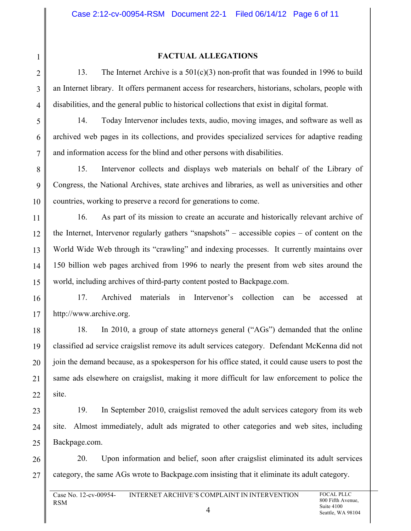### **FACTUAL ALLEGATIONS**

13. The Internet Archive is a  $501(c)(3)$  non-profit that was founded in 1996 to build an Internet library. It offers permanent access for researchers, historians, scholars, people with disabilities, and the general public to historical collections that exist in digital format.

14. Today Intervenor includes texts, audio, moving images, and software as well as archived web pages in its collections, and provides specialized services for adaptive reading and information access for the blind and other persons with disabilities.

15. Intervenor collects and displays web materials on behalf of the Library of Congress, the National Archives, state archives and libraries, as well as universities and other countries, working to preserve a record for generations to come.

16. As part of its mission to create an accurate and historically relevant archive of the Internet, Intervenor regularly gathers "snapshots" – accessible copies – of content on the World Wide Web through its "crawling" and indexing processes. It currently maintains over 150 billion web pages archived from 1996 to nearly the present from web sites around the world, including archives of third-party content posted to Backpage.com.

17. Archived materials in Intervenor's collection can be accessed at http://www.archive.org.

18. In 2010, a group of state attorneys general ("AGs") demanded that the online classified ad service craigslist remove its adult services category. Defendant McKenna did not join the demand because, as a spokesperson for his office stated, it could cause users to post the same ads elsewhere on craigslist, making it more difficult for law enforcement to police the site.

19. In September 2010, craigslist removed the adult services category from its web site. Almost immediately, adult ads migrated to other categories and web sites, including Backpage.com.

20. Upon information and belief, soon after craigslist eliminated its adult services category, the same AGs wrote to Backpage.com insisting that it eliminate its adult category.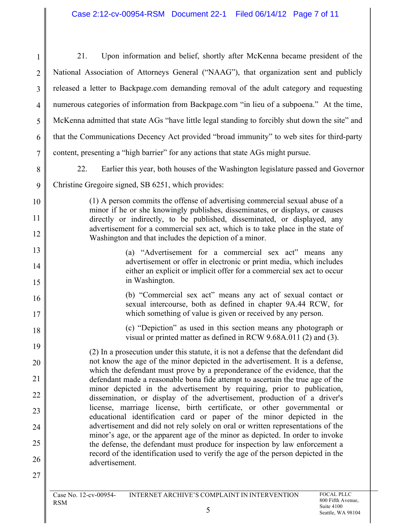1 2 3 4 5 6 7 8 9 10 11 12 13 14 15 16 17 18 19 20 21 22 23 24 25 26 27 21. Upon information and belief, shortly after McKenna became president of the National Association of Attorneys General ("NAAG"), that organization sent and publicly released a letter to Backpage.com demanding removal of the adult category and requesting numerous categories of information from Backpage.com "in lieu of a subpoena." At the time, McKenna admitted that state AGs "have little legal standing to forcibly shut down the site" and that the Communications Decency Act provided "broad immunity" to web sites for third-party content, presenting a "high barrier" for any actions that state AGs might pursue. 22. Earlier this year, both houses of the Washington legislature passed and Governor Christine Gregoire signed, SB 6251, which provides: (1) A person commits the offense of advertising commercial sexual abuse of a minor if he or she knowingly publishes, disseminates, or displays, or causes directly or indirectly, to be published, disseminated, or displayed, any advertisement for a commercial sex act, which is to take place in the state of Washington and that includes the depiction of a minor. (a) "Advertisement for a commercial sex act" means any advertisement or offer in electronic or print media, which includes either an explicit or implicit offer for a commercial sex act to occur in Washington. (b) "Commercial sex act" means any act of sexual contact or sexual intercourse, both as defined in chapter 9A.44 RCW, for which something of value is given or received by any person. (c) "Depiction" as used in this section means any photograph or visual or printed matter as defined in RCW 9.68A.011 (2) and (3). (2) In a prosecution under this statute, it is not a defense that the defendant did not know the age of the minor depicted in the advertisement. It is a defense, which the defendant must prove by a preponderance of the evidence, that the defendant made a reasonable bona fide attempt to ascertain the true age of the minor depicted in the advertisement by requiring, prior to publication, dissemination, or display of the advertisement, production of a driver's license, marriage license, birth certificate, or other governmental or educational identification card or paper of the minor depicted in the advertisement and did not rely solely on oral or written representations of the minor's age, or the apparent age of the minor as depicted. In order to invoke the defense, the defendant must produce for inspection by law enforcement a record of the identification used to verify the age of the person depicted in the advertisement.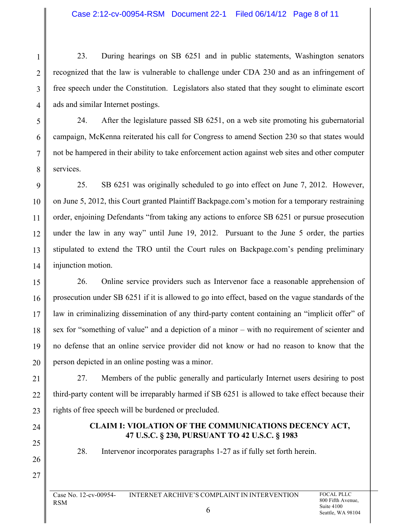23. During hearings on SB 6251 and in public statements, Washington senators recognized that the law is vulnerable to challenge under CDA 230 and as an infringement of free speech under the Constitution. Legislators also stated that they sought to eliminate escort ads and similar Internet postings.

24. After the legislature passed SB 6251, on a web site promoting his gubernatorial campaign, McKenna reiterated his call for Congress to amend Section 230 so that states would not be hampered in their ability to take enforcement action against web sites and other computer services.

25. SB 6251 was originally scheduled to go into effect on June 7, 2012. However, on June 5, 2012, this Court granted Plaintiff Backpage.com's motion for a temporary restraining order, enjoining Defendants "from taking any actions to enforce SB 6251 or pursue prosecution under the law in any way" until June 19, 2012. Pursuant to the June 5 order, the parties stipulated to extend the TRO until the Court rules on Backpage.com's pending preliminary injunction motion.

26. Online service providers such as Intervenor face a reasonable apprehension of prosecution under SB 6251 if it is allowed to go into effect, based on the vague standards of the law in criminalizing dissemination of any third-party content containing an "implicit offer" of sex for "something of value" and a depiction of a minor – with no requirement of scienter and no defense that an online service provider did not know or had no reason to know that the person depicted in an online posting was a minor.

27. Members of the public generally and particularly Internet users desiring to post third-party content will be irreparably harmed if SB 6251 is allowed to take effect because their rights of free speech will be burdened or precluded.

# **CLAIM I: VIOLATION OF THE COMMUNICATIONS DECENCY ACT, 47 U.S.C. § 230, PURSUANT TO 42 U.S.C. § 1983**

28. Intervenor incorporates paragraphs 1-27 as if fully set forth herein.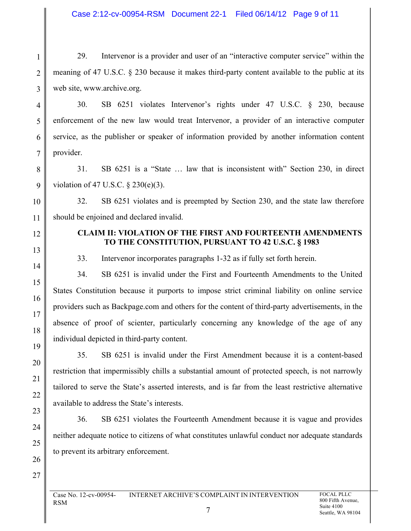29. Intervenor is a provider and user of an "interactive computer service" within the meaning of 47 U.S.C. § 230 because it makes third-party content available to the public at its web site, www.archive.org.

30. SB 6251 violates Intervenor's rights under 47 U.S.C. § 230, because enforcement of the new law would treat Intervenor, a provider of an interactive computer service, as the publisher or speaker of information provided by another information content provider.

31. SB 6251 is a "State … law that is inconsistent with" Section 230, in direct violation of 47 U.S.C. § 230(e)(3).

32. SB 6251 violates and is preempted by Section 230, and the state law therefore should be enjoined and declared invalid.

## **CLAIM II: VIOLATION OF THE FIRST AND FOURTEENTH AMENDMENTS TO THE CONSTITUTION, PURSUANT TO 42 U.S.C. § 1983**

33. Intervenor incorporates paragraphs 1-32 as if fully set forth herein.

34. SB 6251 is invalid under the First and Fourteenth Amendments to the United States Constitution because it purports to impose strict criminal liability on online service providers such as Backpage.com and others for the content of third-party advertisements, in the absence of proof of scienter, particularly concerning any knowledge of the age of any individual depicted in third-party content.

35. SB 6251 is invalid under the First Amendment because it is a content-based restriction that impermissibly chills a substantial amount of protected speech, is not narrowly tailored to serve the State's asserted interests, and is far from the least restrictive alternative available to address the State's interests.

36. SB 6251 violates the Fourteenth Amendment because it is vague and provides neither adequate notice to citizens of what constitutes unlawful conduct nor adequate standards to prevent its arbitrary enforcement.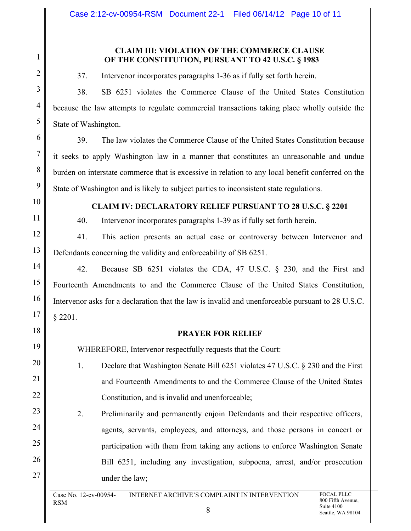### **CLAIM III: VIOLATION OF THE COMMERCE CLAUSE OF THE CONSTITUTION, PURSUANT TO 42 U.S.C. § 1983**

37. Intervenor incorporates paragraphs 1-36 as if fully set forth herein.

38. SB 6251 violates the Commerce Clause of the United States Constitution because the law attempts to regulate commercial transactions taking place wholly outside the State of Washington.

39. The law violates the Commerce Clause of the United States Constitution because it seeks to apply Washington law in a manner that constitutes an unreasonable and undue burden on interstate commerce that is excessive in relation to any local benefit conferred on the State of Washington and is likely to subject parties to inconsistent state regulations.

## **CLAIM IV: DECLARATORY RELIEF PURSUANT TO 28 U.S.C. § 2201**

40. Intervenor incorporates paragraphs 1-39 as if fully set forth herein.

41. This action presents an actual case or controversy between Intervenor and Defendants concerning the validity and enforceability of SB 6251.

42. Because SB 6251 violates the CDA, 47 U.S.C. § 230, and the First and Fourteenth Amendments to and the Commerce Clause of the United States Constitution, Intervenor asks for a declaration that the law is invalid and unenforceable pursuant to 28 U.S.C. § 2201.

### **PRAYER FOR RELIEF**

WHEREFORE, Intervenor respectfully requests that the Court:

- 1. Declare that Washington Senate Bill 6251 violates 47 U.S.C. § 230 and the First and Fourteenth Amendments to and the Commerce Clause of the United States Constitution, and is invalid and unenforceable;
- 2. Preliminarily and permanently enjoin Defendants and their respective officers, agents, servants, employees, and attorneys, and those persons in concert or participation with them from taking any actions to enforce Washington Senate Bill 6251, including any investigation, subpoena, arrest, and/or prosecution under the law;